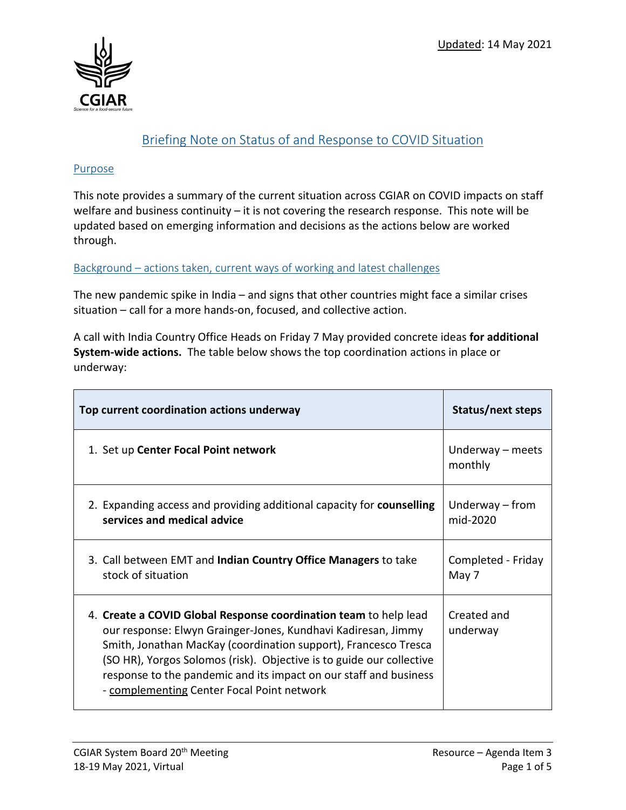

# Briefing Note on Status of and Response to COVID Situation

#### Purpose

This note provides a summary of the current situation across CGIAR on COVID impacts on staff welfare and business continuity – it is not covering the research response. This note will be updated based on emerging information and decisions as the actions below are worked through.

Background – actions taken, current ways of working and latest challenges

The new pandemic spike in India – and signs that other countries might face a similar crises situation – call for a more hands-on, focused, and collective action.

A call with India Country Office Heads on Friday 7 May provided concrete ideas **for additional System-wide actions.** The table below shows the top coordination actions in place or underway:

| Top current coordination actions underway                                                                                                                                                                                                                                                                                                                                                       | Status/next steps             |
|-------------------------------------------------------------------------------------------------------------------------------------------------------------------------------------------------------------------------------------------------------------------------------------------------------------------------------------------------------------------------------------------------|-------------------------------|
| 1. Set up Center Focal Point network                                                                                                                                                                                                                                                                                                                                                            | Underway – meets<br>monthly   |
| 2. Expanding access and providing additional capacity for counselling<br>services and medical advice                                                                                                                                                                                                                                                                                            | Underway $-$ from<br>mid-2020 |
| 3. Call between EMT and Indian Country Office Managers to take<br>stock of situation                                                                                                                                                                                                                                                                                                            | Completed - Friday<br>May 7   |
| 4. Create a COVID Global Response coordination team to help lead<br>our response: Elwyn Grainger-Jones, Kundhavi Kadiresan, Jimmy<br>Smith, Jonathan MacKay (coordination support), Francesco Tresca<br>(SO HR), Yorgos Solomos (risk). Objective is to guide our collective<br>response to the pandemic and its impact on our staff and business<br>- complementing Center Focal Point network | Created and<br>underway       |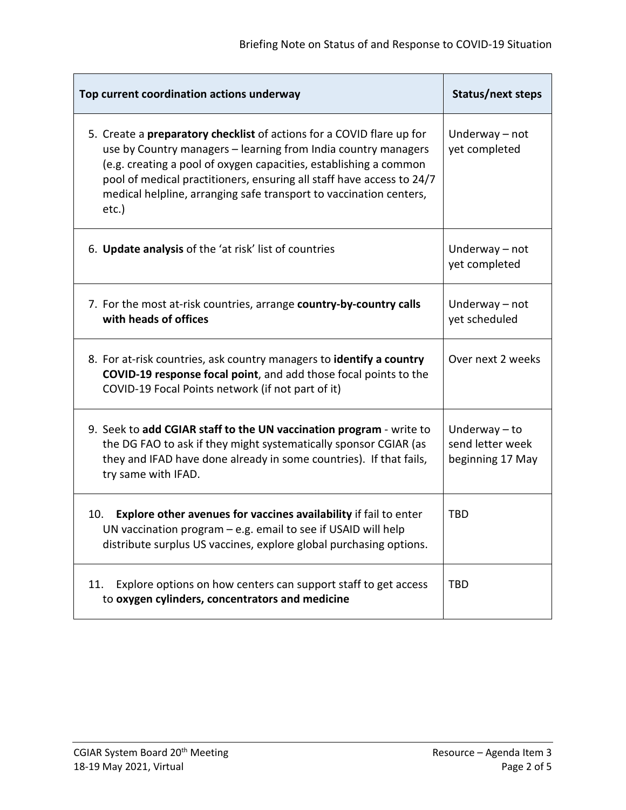| Top current coordination actions underway                                                                                                                                                                                                                                                                                                                            | Status/next steps                                       |
|----------------------------------------------------------------------------------------------------------------------------------------------------------------------------------------------------------------------------------------------------------------------------------------------------------------------------------------------------------------------|---------------------------------------------------------|
| 5. Create a preparatory checklist of actions for a COVID flare up for<br>use by Country managers - learning from India country managers<br>(e.g. creating a pool of oxygen capacities, establishing a common<br>pool of medical practitioners, ensuring all staff have access to 24/7<br>medical helpline, arranging safe transport to vaccination centers,<br>etc.) | Underway - not<br>yet completed                         |
| 6. Update analysis of the 'at risk' list of countries                                                                                                                                                                                                                                                                                                                | Underway - not<br>yet completed                         |
| 7. For the most at-risk countries, arrange country-by-country calls<br>with heads of offices                                                                                                                                                                                                                                                                         | Underway - not<br>yet scheduled                         |
| 8. For at-risk countries, ask country managers to identify a country<br>COVID-19 response focal point, and add those focal points to the<br>COVID-19 Focal Points network (if not part of it)                                                                                                                                                                        | Over next 2 weeks                                       |
| 9. Seek to add CGIAR staff to the UN vaccination program - write to<br>the DG FAO to ask if they might systematically sponsor CGIAR (as<br>they and IFAD have done already in some countries). If that fails,<br>try same with IFAD.                                                                                                                                 | Underway $-$ to<br>send letter week<br>beginning 17 May |
| Explore other avenues for vaccines availability if fail to enter<br>10.<br>UN vaccination program - e.g. email to see if USAID will help<br>distribute surplus US vaccines, explore global purchasing options.                                                                                                                                                       | <b>TBD</b>                                              |
| Explore options on how centers can support staff to get access<br>11.<br>to oxygen cylinders, concentrators and medicine                                                                                                                                                                                                                                             | <b>TBD</b>                                              |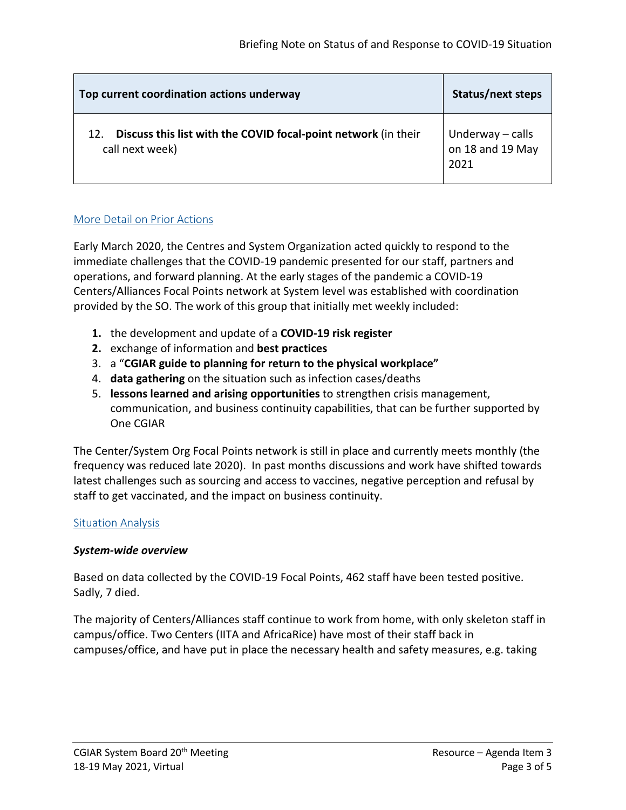| Top current coordination actions underway                                                | Status/next steps                            |
|------------------------------------------------------------------------------------------|----------------------------------------------|
| Discuss this list with the COVID focal-point network (in their<br>12.<br>call next week) | Underway – calls<br>on 18 and 19 May<br>2021 |

### More Detail on Prior Actions

Early March 2020, the Centres and System Organization acted quickly to respond to the immediate challenges that the COVID-19 pandemic presented for our staff, partners and operations, and forward planning. At the early stages of the pandemic a COVID-19 Centers/Alliances Focal Points network at System level was established with coordination provided by the SO. The work of this group that initially met weekly included:

- **1.** the development and update of a **COVID-19 risk register**
- **2.** exchange of information and **best practices**
- 3. a "**CGIAR guide to planning for return to the physical workplace"**
- 4. **data gathering** on the situation such as infection cases/deaths
- 5. **lessons learned and arising opportunities** to strengthen crisis management, communication, and business continuity capabilities, that can be further supported by One CGIAR

The Center/System Org Focal Points network is still in place and currently meets monthly (the frequency was reduced late 2020). In past months discussions and work have shifted towards latest challenges such as sourcing and access to vaccines, negative perception and refusal by staff to get vaccinated, and the impact on business continuity.

#### Situation Analysis

#### *System-wide overview*

Based on data collected by the COVID-19 Focal Points, 462 staff have been tested positive. Sadly, 7 died.

The majority of Centers/Alliances staff continue to work from home, with only skeleton staff in campus/office. Two Centers (IITA and AfricaRice) have most of their staff back in campuses/office, and have put in place the necessary health and safety measures, e.g. taking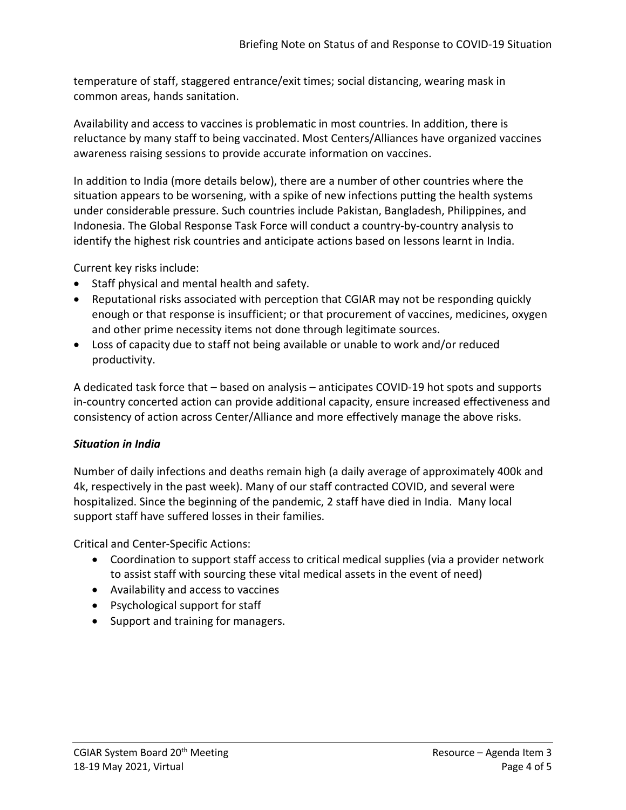temperature of staff, staggered entrance/exit times; social distancing, wearing mask in common areas, hands sanitation.

Availability and access to vaccines is problematic in most countries. In addition, there is reluctance by many staff to being vaccinated. Most Centers/Alliances have organized vaccines awareness raising sessions to provide accurate information on vaccines.

In addition to India (more details below), there are a number of other countries where the situation appears to be worsening, with a spike of new infections putting the health systems under considerable pressure. Such countries include Pakistan, Bangladesh, Philippines, and Indonesia. The Global Response Task Force will conduct a country-by-country analysis to identify the highest risk countries and anticipate actions based on lessons learnt in India.

Current key risks include:

- Staff physical and mental health and safety.
- Reputational risks associated with perception that CGIAR may not be responding quickly enough or that response is insufficient; or that procurement of vaccines, medicines, oxygen and other prime necessity items not done through legitimate sources.
- Loss of capacity due to staff not being available or unable to work and/or reduced productivity.

A dedicated task force that – based on analysis – anticipates COVID-19 hot spots and supports in-country concerted action can provide additional capacity, ensure increased effectiveness and consistency of action across Center/Alliance and more effectively manage the above risks.

## *Situation in India*

Number of daily infections and deaths remain high (a daily average of approximately 400k and 4k, respectively in the past week). Many of our staff contracted COVID, and several were hospitalized. Since the beginning of the pandemic, 2 staff have died in India. Many local support staff have suffered losses in their families.

Critical and Center-Specific Actions:

- Coordination to support staff access to critical medical supplies (via a provider network to assist staff with sourcing these vital medical assets in the event of need)
- Availability and access to vaccines
- Psychological support for staff
- Support and training for managers.